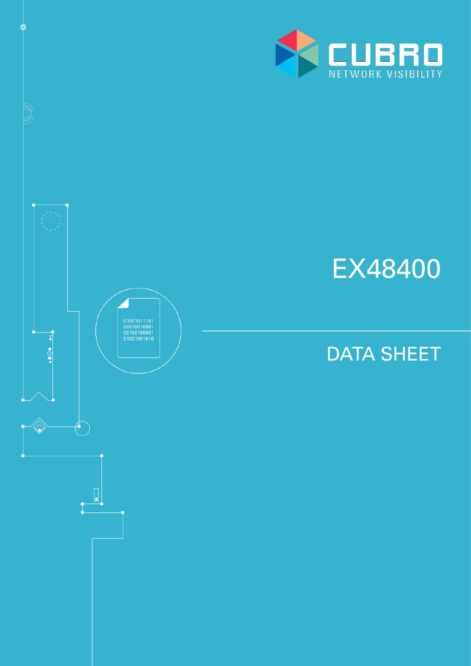



¢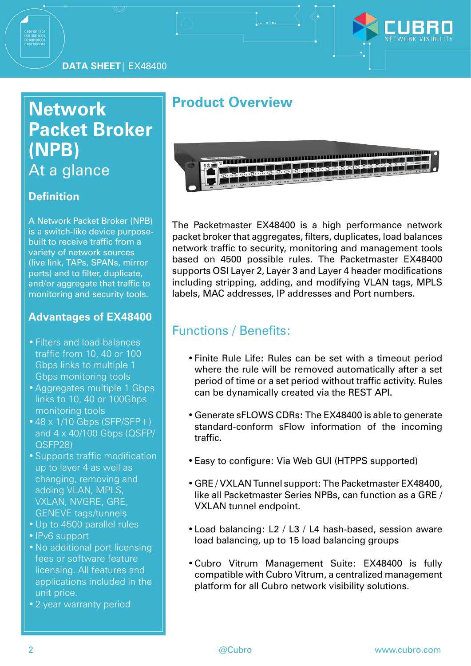

# **Network Packet Broker (NPB)** At a glance

#### **Definition**

A Network Packet Broker (NPB) is a switch-like device purposebuilt to receive traffic from a variety of network sources (live link, TAPs, SPANs, mirror ports) and to filter, duplicate, and/or aggregate that traffic to monitoring and security tools.

#### **Advantages of EX48400**

- •Filters and load-balances traffic from 10, 40 or 100 Gbps links to multiple 1 Gbps monitoring tools
- •Aggregates multiple 1 Gbps links to 10, 40 or 100Gbps monitoring tools
- $\cdot$  48 x 1/10 Gbps (SFP/SFP+) and 4 x 40/100 Gbps (QSFP/ QSFP28)
- •Supports traffic modification up to layer 4 as well as changing, removing and adding VLAN, MPLS, VXLAN, NVGRE, GRE, GENEVE tags/tunnels
- •Up to 4500 parallel rules
- •IPv6 support
- •No additional port licensing fees or software feature licensing. All features and applications included in the unit price.
- •2-year warranty period

## **Product Overview**



The Packetmaster EX48400 is a high performance network packet broker that aggregates, filters, duplicates, load balances network traffic to security, monitoring and management tools based on 4500 possible rules. The Packetmaster EX48400 supports OSI Layer 2, Layer 3 and Layer 4 header modifications including stripping, adding, and modifying VLAN tags, MPLS labels, MAC addresses, IP addresses and Port numbers.

### Functions / Benefits:

- •Finite Rule Life: Rules can be set with a timeout period where the rule will be removed automatically after a set period of time or a set period without traffic activity. Rules can be dynamically created via the REST API.
- •Generate sFLOWS CDRs: The EX48400 is able to generate standard-conform sFlow information of the incoming traffic.
- •Easy to configure: Via Web GUI (HTPPS supported)
- •GRE / VXLAN Tunnel support: The Packetmaster EX48400, like all Packetmaster Series NPBs, can function as a GRE / VXLAN tunnel endpoint.
- •Load balancing: L2 / L3 / L4 hash-based, session aware load balancing, up to 15 load balancing groups
- •Cubro Vitrum Management Suite: EX48400 is fully compatible with Cubro Vitrum, a centralized management platform for all Cubro network visibility solutions.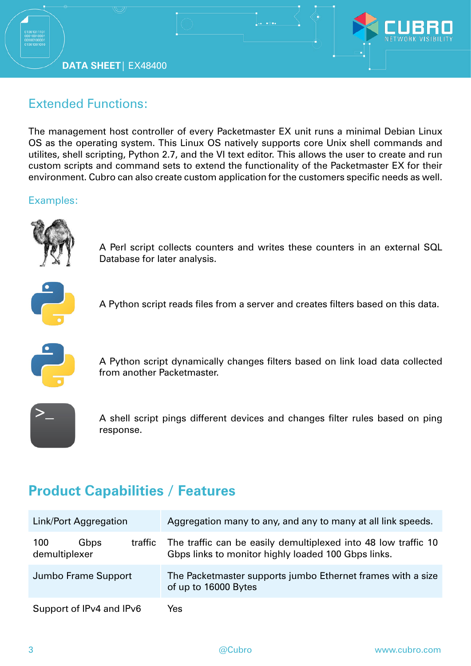**DATA SHEET**| EX48400



### Extended Functions:

The management host controller of every Packetmaster EX unit runs a minimal Debian Linux OS as the operating system. This Linux OS natively supports core Unix shell commands and utilites, shell scripting, Python 2.7, and the VI text editor. This allows the user to create and run custom scripts and command sets to extend the functionality of the Packetmaster EX for their environment. Cubro can also create custom application for the customers specific needs as well.

#### Examples:



A Perl script collects counters and writes these counters in an external SQL Database for later analysis.



A Python script reads files from a server and creates filters based on this data.



A Python script dynamically changes filters based on link load data collected from another Packetmaster.



A shell script pings different devices and changes filter rules based on ping response.

## **Product Capabilities / Features**

| Link/Port Aggregation                   | Aggregation many to any, and any to many at all link speeds.                                                          |  |  |  |  |
|-----------------------------------------|-----------------------------------------------------------------------------------------------------------------------|--|--|--|--|
| 100<br>Gbps<br>traffic<br>demultiplexer | The traffic can be easily demultiplexed into 48 low traffic 10<br>Gbps links to monitor highly loaded 100 Gbps links. |  |  |  |  |
| Jumbo Frame Support                     | The Packetmaster supports jumbo Ethernet frames with a size<br>of up to 16000 Bytes                                   |  |  |  |  |
| Support of IPv4 and IPv6                | Yes                                                                                                                   |  |  |  |  |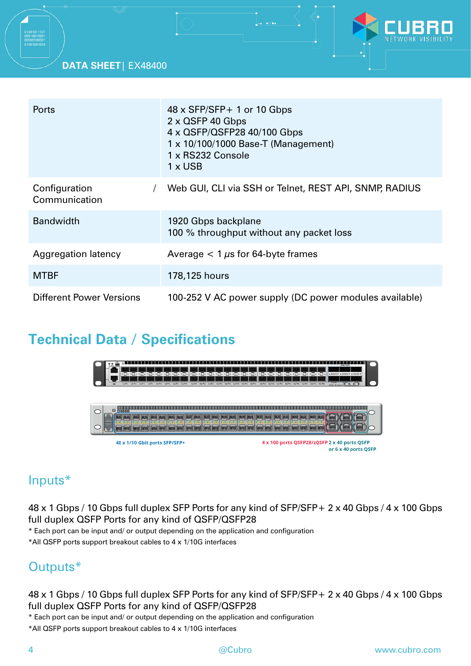#### **DATA SHEET**| EX48400



| <b>Ports</b>                    | $48 \times$ SFP/SFP + 1 or 10 Gbps<br>$2 \times$ QSFP 40 Gbps<br>4 x QSFP/QSFP28 40/100 Gbps<br>1 x 10/100/1000 Base-T (Management)<br>1 x RS232 Console<br>$1 \times$ USB |
|---------------------------------|----------------------------------------------------------------------------------------------------------------------------------------------------------------------------|
| Configuration<br>Communication  | Web GUI, CLI via SSH or Telnet, REST API, SNMP, RADIUS                                                                                                                     |
| <b>Bandwidth</b>                | 1920 Gbps backplane<br>100 % throughput without any packet loss                                                                                                            |
| Aggregation latency             | Average $< 1 \mu s$ for 64-byte frames                                                                                                                                     |
| <b>MTBF</b>                     | 178,125 hours                                                                                                                                                              |
| <b>Different Power Versions</b> | 100-252 V AC power supply (DC power modules available)                                                                                                                     |

## **Technical Data / Specifications**



### Inputs\*

48 x 1 Gbps / 10 Gbps full duplex SFP Ports for any kind of SFP/SFP+ 2 x 40 Gbps / 4 x 100 Gbps full duplex QSFP Ports for any kind of QSFP/QSFP28

\* Each port can be input and/ or output depending on the application and configuration

\*All QSFP ports support breakout cables to 4 x 1/10G interfaces

### Outputs\*

48 x 1 Gbps / 10 Gbps full duplex SFP Ports for any kind of SFP/SFP+ 2 x 40 Gbps / 4 x 100 Gbps full duplex QSFP Ports for any kind of QSFP/QSFP28

\* Each port can be input and/ or output depending on the application and configuration

\*All QSFP ports support breakout cables to 4 x 1/10G interfaces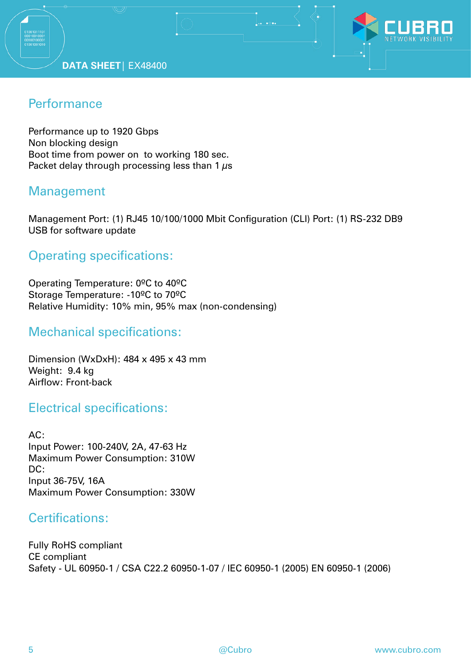

### **Performance**

Performance up to 1920 Gbps Non blocking design Boot time from power on to working 180 sec. Packet delay through processing less than 1  $\mu$ s

### Management

Management Port: (1) RJ45 10/100/1000 Mbit Configuration (CLI) Port: (1) RS-232 DB9 USB for software update

### Operating specifications:

Operating Temperature: 0ºC to 40ºC Storage Temperature: -10ºC to 70ºC Relative Humidity: 10% min, 95% max (non-condensing)

#### Mechanical specifications:

Dimension (WxDxH): 484 x 495 x 43 mm Weight: 9.4 kg Airflow: Front-back

#### Electrical specifications:

AC: Input Power: 100-240V, 2A, 47-63 Hz Maximum Power Consumption: 310W DC: Input 36-75V, 16A Maximum Power Consumption: 330W

### Certifications:

Fully RoHS compliant CE compliant Safety - UL 60950-1 / CSA C22.2 60950-1-07 / IEC 60950-1 (2005) EN 60950-1 (2006)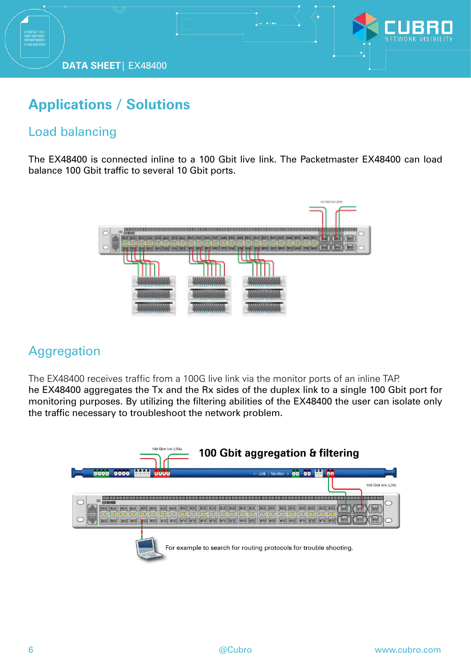

## **Applications / Solutions**

### Load balancing

The EX48400 is connected inline to a 100 Gbit live link. The Packetmaster EX48400 can load balance 100 Gbit traffic to several 10 Gbit ports.



### **Aggregation**

The EX48400 receives traffic from a 100G live link via the monitor ports of an inline TAP. he EX48400 aggregates the Tx and the Rx sides of the duplex link to a single 100 Gbit port for monitoring purposes. By utilizing the filtering abilities of the EX48400 the user can isolate only the traffic necessary to troubleshoot the network problem.



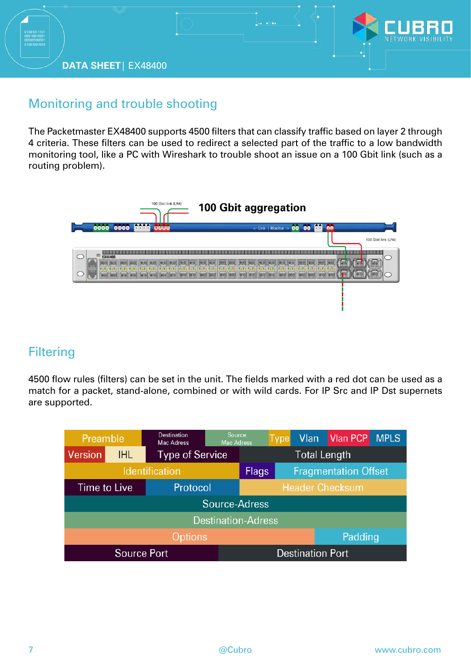

### Monitoring and trouble shooting

The Packetmaster EX48400 supports 4500 filters that can classify traffic based on layer 2 through 4 criteria. These filters can be used to redirect a selected part of the traffic to a low bandwidth monitoring tool, like a PC with Wireshark to trouble shoot an issue on a 100 Gbit link (such as a routing problem).



### **Filtering**

4500 flow rules (filters) can be set in the unit. The fields marked with a red dot can be used as a match for a packet, stand-alone, combined or with wild cards. For IP Src and IP Dst supernets are supported.

| Preamble                  |      | Destination<br><b>Mac Adress</b> | Source,<br><b>Mac Adress</b>                |                     | <b>Type</b> |         | Vlan Vlan PCP | <b>MPLS</b> |
|---------------------------|------|----------------------------------|---------------------------------------------|---------------------|-------------|---------|---------------|-------------|
| Version                   | IHL. | <b>Type of Service</b>           |                                             | <b>Total Length</b> |             |         |               |             |
| <b>Identification</b>     |      |                                  | <b>Fragmentation Offset</b><br><b>Flags</b> |                     |             |         |               |             |
| <b>Time to Live</b>       |      | Protocol                         | <b>Header Checksum</b>                      |                     |             |         |               |             |
| Source-Adress             |      |                                  |                                             |                     |             |         |               |             |
| <b>Destination-Adress</b> |      |                                  |                                             |                     |             |         |               |             |
| Options                   |      |                                  |                                             |                     |             | Padding |               |             |
| <b>Source Port</b>        |      |                                  | <b>Destination Port</b>                     |                     |             |         |               |             |